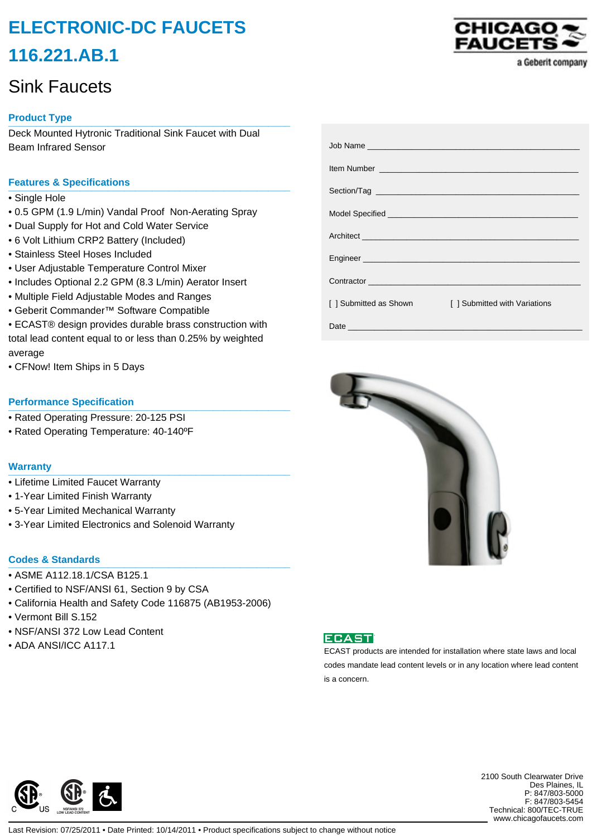# **ELECTRONIC-DC FAUCETS 116.221.AB.1**

# Sink Faucets

# **Product Type \_\_\_\_\_\_\_\_\_\_\_\_\_\_\_\_\_\_\_\_\_\_\_\_\_\_\_\_\_\_\_\_\_\_\_\_\_\_\_\_\_\_\_\_\_\_\_\_\_\_\_**

Deck Mounted Hytronic Traditional Sink Faucet with Dual Beam Infrared Sensor

## **Features & Specifications \_\_\_\_\_\_\_\_\_\_\_\_\_\_\_\_\_\_\_\_\_\_\_\_\_\_\_\_\_\_\_\_\_\_\_\_\_\_\_\_\_\_\_\_\_\_\_\_\_\_\_**

- Single Hole
- 0.5 GPM (1.9 L/min) Vandal Proof Non-Aerating Spray
- Dual Supply for Hot and Cold Water Service
- 6 Volt Lithium CRP2 Battery (Included)
- Stainless Steel Hoses Included
- User Adjustable Temperature Control Mixer
- Includes Optional 2.2 GPM (8.3 L/min) Aerator Insert
- Multiple Field Adjustable Modes and Ranges
- Geberit Commander™ Software Compatible
- ECAST® design provides durable brass construction with total lead content equal to or less than 0.25% by weighted average
- CFNow! Item Ships in 5 Days

### **Performance Specification**

- Rated Operating Pressure: 20-125 PSI
- Rated Operating Temperature: 40-140ºF

#### **Warranty \_\_\_\_\_\_\_\_\_\_\_\_\_\_\_\_\_\_\_\_\_\_\_\_\_\_\_\_\_\_\_\_\_\_\_\_\_\_\_\_\_\_\_\_\_\_\_\_\_\_\_**

- Lifetime Limited Faucet Warranty
- 1-Year Limited Finish Warranty
- 5-Year Limited Mechanical Warranty
- 3-Year Limited Electronics and Solenoid Warranty

## **Codes & Standards \_\_\_\_\_\_\_\_\_\_\_\_\_\_\_\_\_\_\_\_\_\_\_\_\_\_\_\_\_\_\_\_\_\_\_\_\_\_\_\_\_\_\_\_\_\_\_\_\_\_\_**

- ASME A112.18.1/CSA B125.1
- Certified to NSF/ANSI 61, Section 9 by CSA
- California Health and Safety Code 116875 (AB1953-2006)
- Vermont Bill S.152
- NSF/ANSI 372 Low Lead Content
- 



| [ ] Submitted as Shown                                                                                                                                                                                                         | [ ] Submitted with Variations |
|--------------------------------------------------------------------------------------------------------------------------------------------------------------------------------------------------------------------------------|-------------------------------|
| Date and the contract of the contract of the contract of the contract of the contract of the contract of the contract of the contract of the contract of the contract of the contract of the contract of the contract of the c |                               |





• NOT/ANSI STZ LOW LEAD COMENT<br>• ADA ANSI/ICC A117.1 ECAST products are intended for installation where state laws and local codes mandate lead content levels or in any location where lead content is a concern.



2100 South Clearwater Drive Des Plaines, IL P: 847/803-5000 F: 847/803-5454 Technical: 800/TEC-TRUE www.chicagofaucets.com